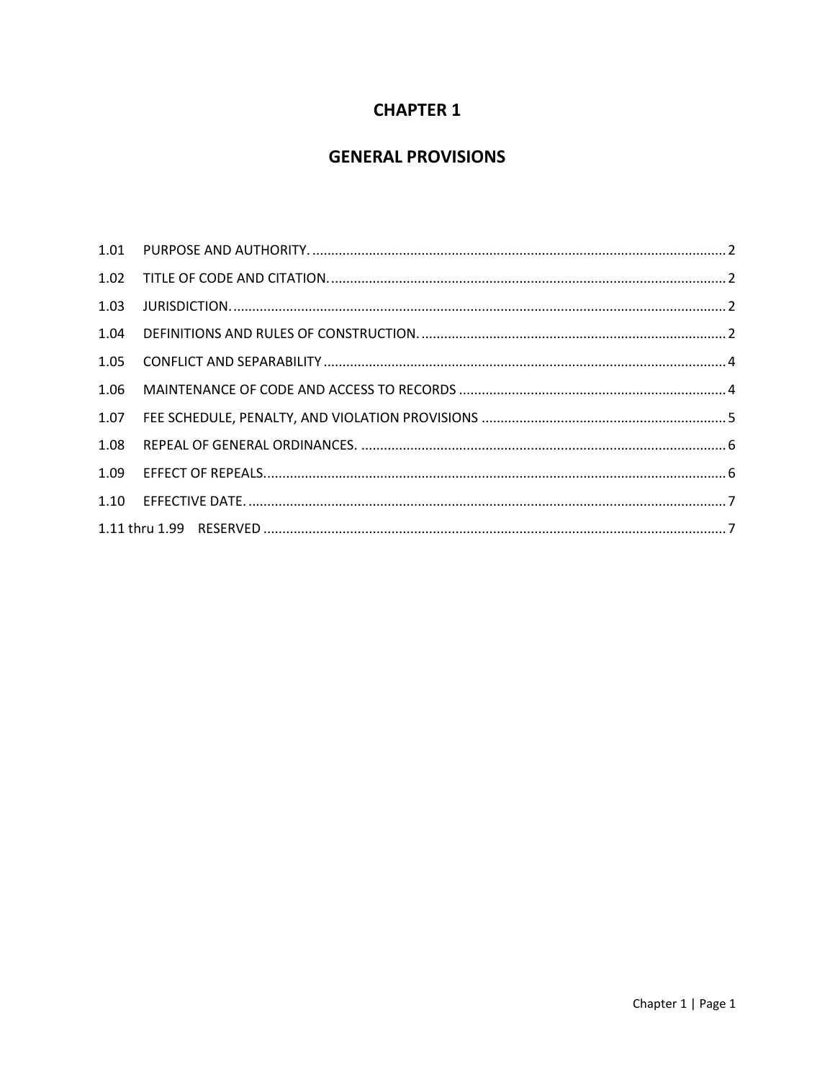# **CHAPTER 1**

# **GENERAL PROVISIONS**

| 1.03 |  |
|------|--|
| 1.04 |  |
| 1.05 |  |
| 1.06 |  |
| 1.07 |  |
| 1.08 |  |
| 1.09 |  |
|      |  |
|      |  |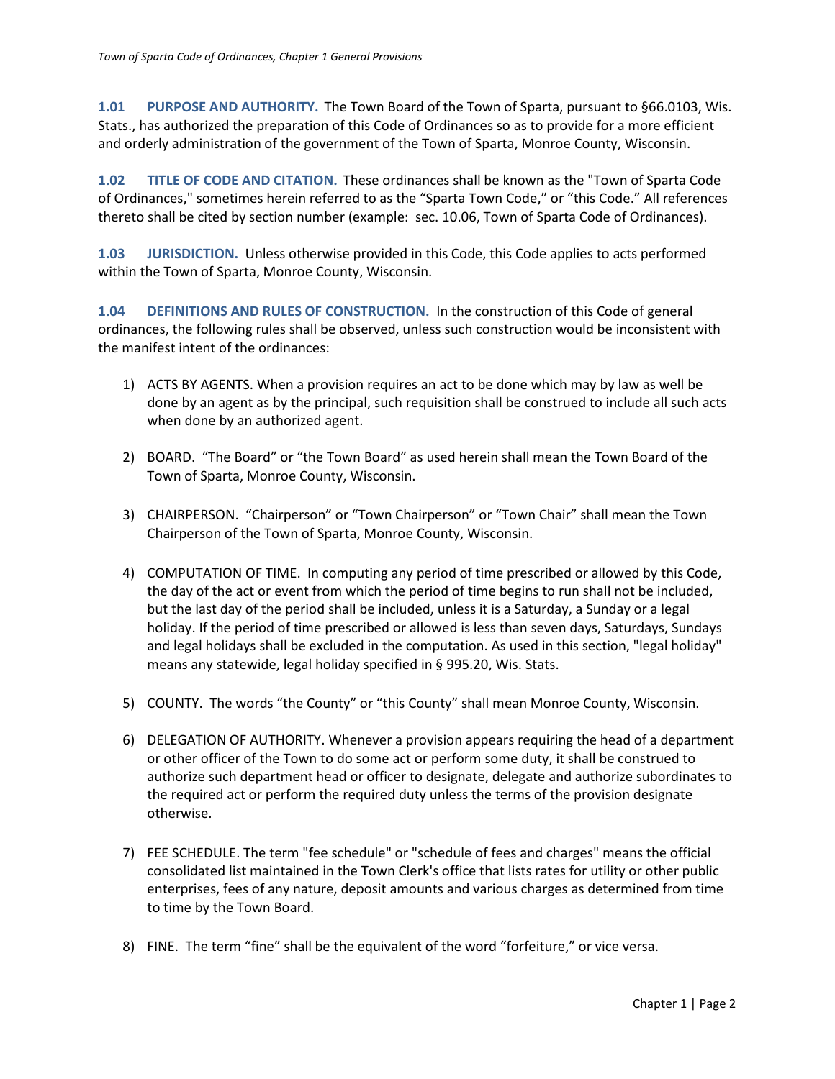<span id="page-1-0"></span>**1.01 PURPOSE AND AUTHORITY.** The Town Board of the Town of Sparta, pursuant to §66.0103, Wis. Stats., has authorized the preparation of this Code of Ordinances so as to provide for a more efficient and orderly administration of the government of the Town of Sparta, Monroe County, Wisconsin.

<span id="page-1-1"></span>**1.02 TITLE OF CODE AND CITATION.** These ordinances shall be known as the "Town of Sparta Code of Ordinances," sometimes herein referred to as the "Sparta Town Code," or "this Code." All references thereto shall be cited by section number (example: sec. 10.06, Town of Sparta Code of Ordinances).

<span id="page-1-2"></span>**1.03 JURISDICTION.** Unless otherwise provided in this Code, this Code applies to acts performed within the Town of Sparta, Monroe County, Wisconsin.

<span id="page-1-3"></span>**1.04 DEFINITIONS AND RULES OF CONSTRUCTION.** In the construction of this Code of general ordinances, the following rules shall be observed, unless such construction would be inconsistent with the manifest intent of the ordinances:

- 1) ACTS BY AGENTS. When a provision requires an act to be done which may by law as well be done by an agent as by the principal, such requisition shall be construed to include all such acts when done by an authorized agent.
- 2) BOARD. "The Board" or "the Town Board" as used herein shall mean the Town Board of the Town of Sparta, Monroe County, Wisconsin.
- 3) CHAIRPERSON. "Chairperson" or "Town Chairperson" or "Town Chair" shall mean the Town Chairperson of the Town of Sparta, Monroe County, Wisconsin.
- 4) COMPUTATION OF TIME. In computing any period of time prescribed or allowed by this Code, the day of the act or event from which the period of time begins to run shall not be included, but the last day of the period shall be included, unless it is a Saturday, a Sunday or a legal holiday. If the period of time prescribed or allowed is less than seven days, Saturdays, Sundays and legal holidays shall be excluded in the computation. As used in this section, "legal holiday" means any statewide, legal holiday specified in § 995.20, Wis. Stats.
- 5) COUNTY. The words "the County" or "this County" shall mean Monroe County, Wisconsin.
- 6) DELEGATION OF AUTHORITY. Whenever a provision appears requiring the head of a department or other officer of the Town to do some act or perform some duty, it shall be construed to authorize such department head or officer to designate, delegate and authorize subordinates to the required act or perform the required duty unless the terms of the provision designate otherwise.
- 7) FEE SCHEDULE. The term "fee schedule" or "schedule of fees and charges" means the official consolidated list maintained in the Town Clerk's office that lists rates for utility or other public enterprises, fees of any nature, deposit amounts and various charges as determined from time to time by the Town Board.
- 8) FINE. The term "fine" shall be the equivalent of the word "forfeiture," or vice versa.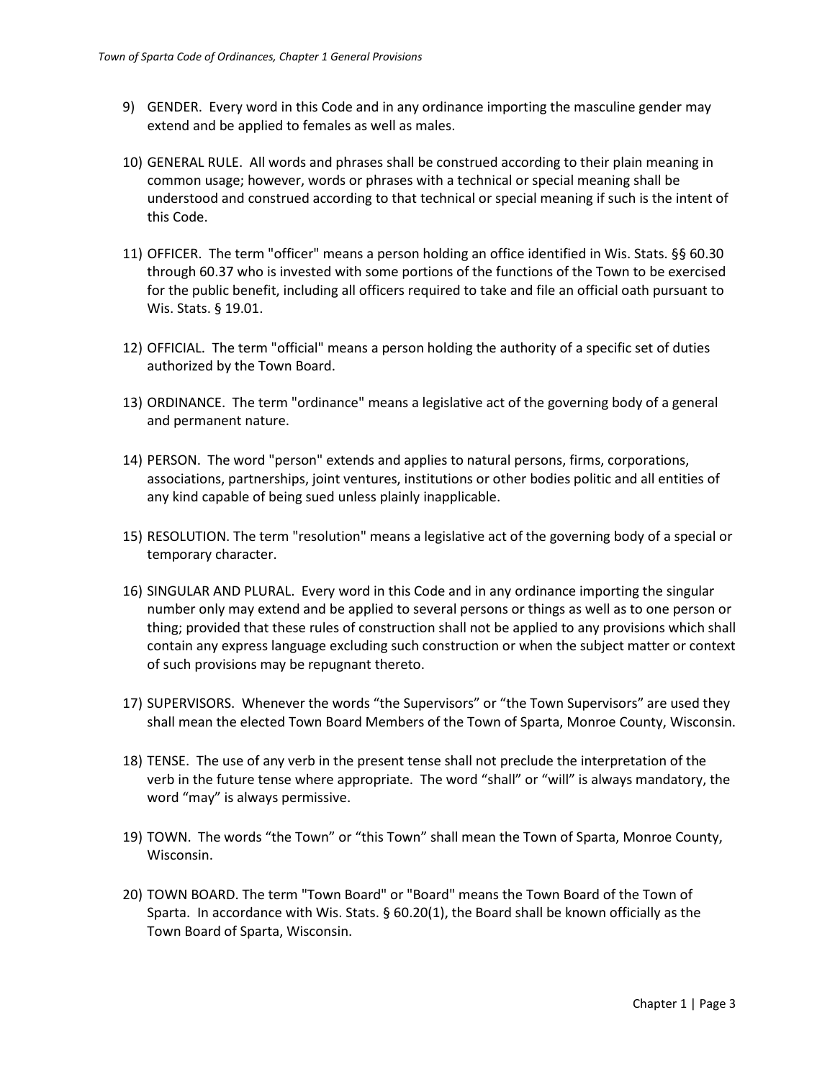- 9) GENDER. Every word in this Code and in any ordinance importing the masculine gender may extend and be applied to females as well as males.
- 10) GENERAL RULE. All words and phrases shall be construed according to their plain meaning in common usage; however, words or phrases with a technical or special meaning shall be understood and construed according to that technical or special meaning if such is the intent of this Code.
- 11) OFFICER. The term "officer" means a person holding an office identified in Wis. Stats. §§ 60.30 through 60.37 who is invested with some portions of the functions of the Town to be exercised for the public benefit, including all officers required to take and file an official oath pursuant to Wis. Stats. § 19.01.
- 12) OFFICIAL. The term "official" means a person holding the authority of a specific set of duties authorized by the Town Board.
- 13) ORDINANCE. The term "ordinance" means a legislative act of the governing body of a general and permanent nature.
- 14) PERSON. The word "person" extends and applies to natural persons, firms, corporations, associations, partnerships, joint ventures, institutions or other bodies politic and all entities of any kind capable of being sued unless plainly inapplicable.
- 15) RESOLUTION. The term "resolution" means a legislative act of the governing body of a special or temporary character.
- 16) SINGULAR AND PLURAL. Every word in this Code and in any ordinance importing the singular number only may extend and be applied to several persons or things as well as to one person or thing; provided that these rules of construction shall not be applied to any provisions which shall contain any express language excluding such construction or when the subject matter or context of such provisions may be repugnant thereto.
- 17) SUPERVISORS. Whenever the words "the Supervisors" or "the Town Supervisors" are used they shall mean the elected Town Board Members of the Town of Sparta, Monroe County, Wisconsin.
- 18) TENSE. The use of any verb in the present tense shall not preclude the interpretation of the verb in the future tense where appropriate. The word "shall" or "will" is always mandatory, the word "may" is always permissive.
- 19) TOWN. The words "the Town" or "this Town" shall mean the Town of Sparta, Monroe County, Wisconsin.
- 20) TOWN BOARD. The term "Town Board" or "Board" means the Town Board of the Town of Sparta. In accordance with Wis. Stats. § 60.20(1), the Board shall be known officially as the Town Board of Sparta, Wisconsin.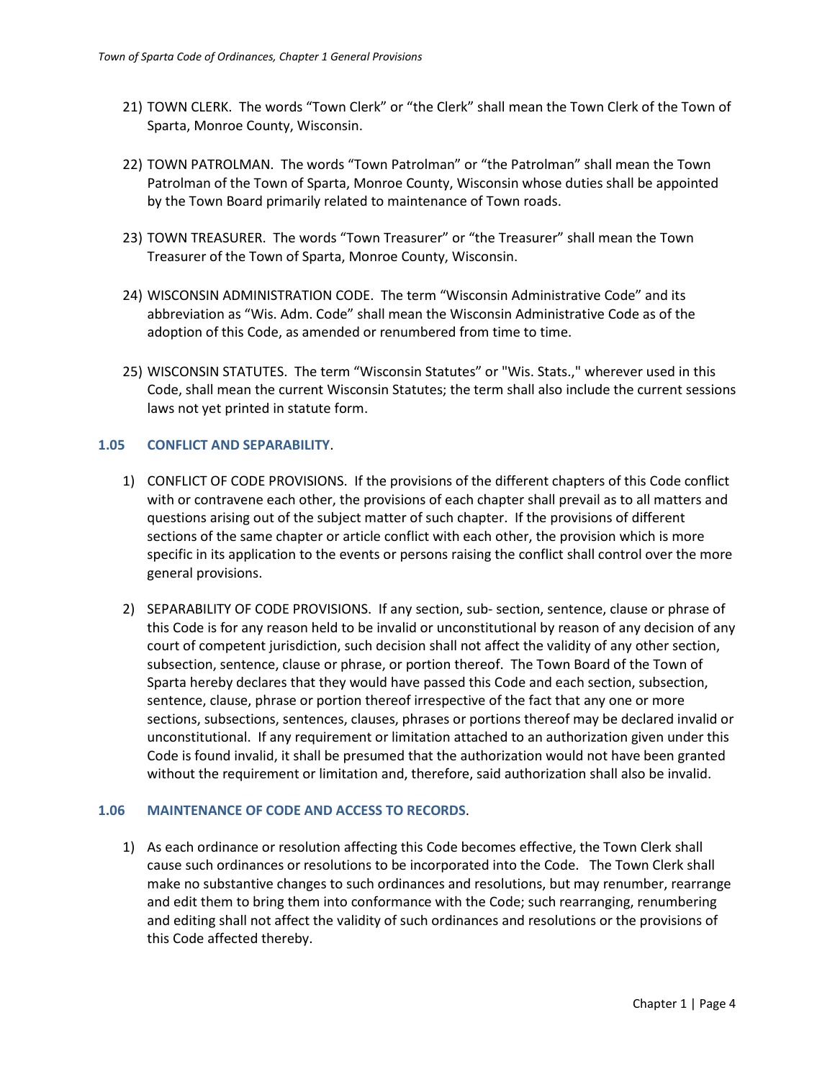- 21) TOWN CLERK. The words "Town Clerk" or "the Clerk" shall mean the Town Clerk of the Town of Sparta, Monroe County, Wisconsin.
- 22) TOWN PATROLMAN. The words "Town Patrolman" or "the Patrolman" shall mean the Town Patrolman of the Town of Sparta, Monroe County, Wisconsin whose duties shall be appointed by the Town Board primarily related to maintenance of Town roads.
- 23) TOWN TREASURER. The words "Town Treasurer" or "the Treasurer" shall mean the Town Treasurer of the Town of Sparta, Monroe County, Wisconsin.
- 24) WISCONSIN ADMINISTRATION CODE. The term "Wisconsin Administrative Code" and its abbreviation as "Wis. Adm. Code" shall mean the Wisconsin Administrative Code as of the adoption of this Code, as amended or renumbered from time to time.
- 25) WISCONSIN STATUTES. The term "Wisconsin Statutes" or "Wis. Stats.," wherever used in this Code, shall mean the current Wisconsin Statutes; the term shall also include the current sessions laws not yet printed in statute form.

#### <span id="page-3-0"></span>**1.05 CONFLICT AND SEPARABILITY**.

- 1) CONFLICT OF CODE PROVISIONS. If the provisions of the different chapters of this Code conflict with or contravene each other, the provisions of each chapter shall prevail as to all matters and questions arising out of the subject matter of such chapter. If the provisions of different sections of the same chapter or article conflict with each other, the provision which is more specific in its application to the events or persons raising the conflict shall control over the more general provisions.
- 2) SEPARABILITY OF CODE PROVISIONS. If any section, sub- section, sentence, clause or phrase of this Code is for any reason held to be invalid or unconstitutional by reason of any decision of any court of competent jurisdiction, such decision shall not affect the validity of any other section, subsection, sentence, clause or phrase, or portion thereof. The Town Board of the Town of Sparta hereby declares that they would have passed this Code and each section, subsection, sentence, clause, phrase or portion thereof irrespective of the fact that any one or more sections, subsections, sentences, clauses, phrases or portions thereof may be declared invalid or unconstitutional. If any requirement or limitation attached to an authorization given under this Code is found invalid, it shall be presumed that the authorization would not have been granted without the requirement or limitation and, therefore, said authorization shall also be invalid.

### <span id="page-3-1"></span>**1.06 MAINTENANCE OF CODE AND ACCESS TO RECORDS**.

1) As each ordinance or resolution affecting this Code becomes effective, the Town Clerk shall cause such ordinances or resolutions to be incorporated into the Code. The Town Clerk shall make no substantive changes to such ordinances and resolutions, but may renumber, rearrange and edit them to bring them into conformance with the Code; such rearranging, renumbering and editing shall not affect the validity of such ordinances and resolutions or the provisions of this Code affected thereby.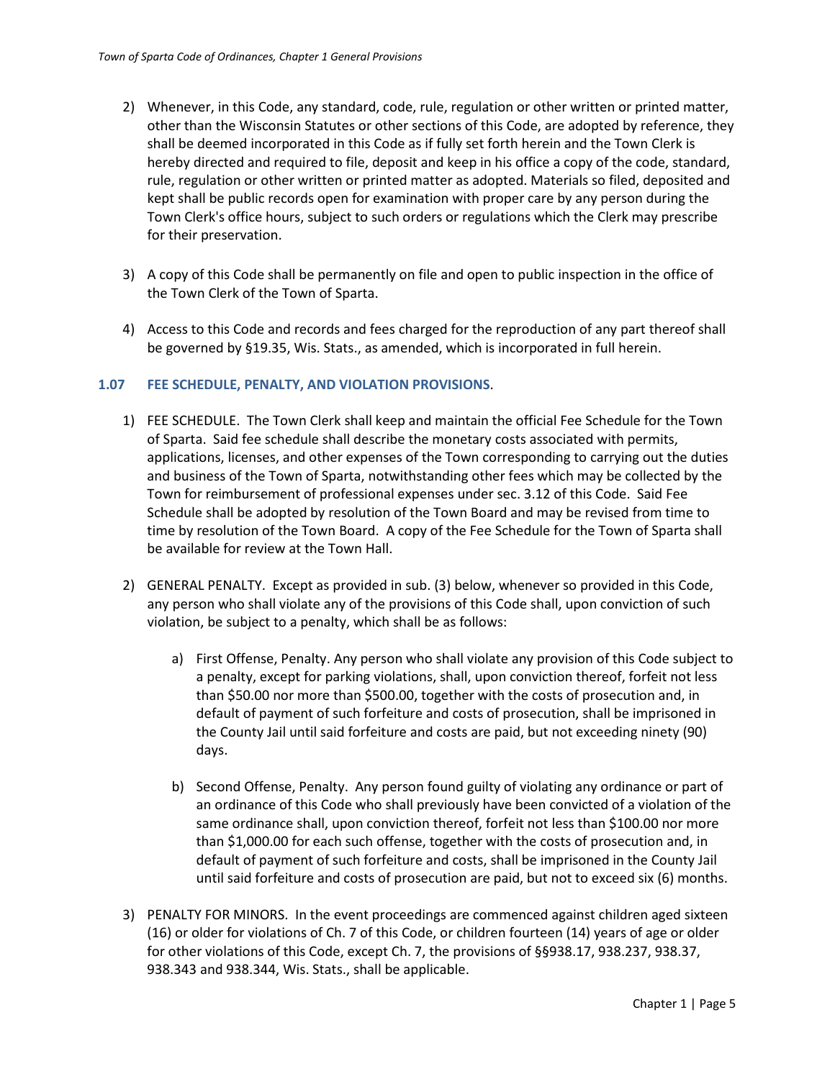- 2) Whenever, in this Code, any standard, code, rule, regulation or other written or printed matter, other than the Wisconsin Statutes or other sections of this Code, are adopted by reference, they shall be deemed incorporated in this Code as if fully set forth herein and the Town Clerk is hereby directed and required to file, deposit and keep in his office a copy of the code, standard, rule, regulation or other written or printed matter as adopted. Materials so filed, deposited and kept shall be public records open for examination with proper care by any person during the Town Clerk's office hours, subject to such orders or regulations which the Clerk may prescribe for their preservation.
- 3) A copy of this Code shall be permanently on file and open to public inspection in the office of the Town Clerk of the Town of Sparta.
- 4) Access to this Code and records and fees charged for the reproduction of any part thereof shall be governed by §19.35, Wis. Stats., as amended, which is incorporated in full herein.

#### <span id="page-4-0"></span>**1.07 FEE SCHEDULE, PENALTY, AND VIOLATION PROVISIONS**.

- 1) FEE SCHEDULE. The Town Clerk shall keep and maintain the official Fee Schedule for the Town of Sparta. Said fee schedule shall describe the monetary costs associated with permits, applications, licenses, and other expenses of the Town corresponding to carrying out the duties and business of the Town of Sparta, notwithstanding other fees which may be collected by the Town for reimbursement of professional expenses under sec. 3.12 of this Code. Said Fee Schedule shall be adopted by resolution of the Town Board and may be revised from time to time by resolution of the Town Board. A copy of the Fee Schedule for the Town of Sparta shall be available for review at the Town Hall.
- 2) GENERAL PENALTY. Except as provided in sub. (3) below, whenever so provided in this Code, any person who shall violate any of the provisions of this Code shall, upon conviction of such violation, be subject to a penalty, which shall be as follows:
	- a) First Offense, Penalty. Any person who shall violate any provision of this Code subject to a penalty, except for parking violations, shall, upon conviction thereof, forfeit not less than \$50.00 nor more than \$500.00, together with the costs of prosecution and, in default of payment of such forfeiture and costs of prosecution, shall be imprisoned in the County Jail until said forfeiture and costs are paid, but not exceeding ninety (90) days.
	- b) Second Offense, Penalty. Any person found guilty of violating any ordinance or part of an ordinance of this Code who shall previously have been convicted of a violation of the same ordinance shall, upon conviction thereof, forfeit not less than \$100.00 nor more than \$1,000.00 for each such offense, together with the costs of prosecution and, in default of payment of such forfeiture and costs, shall be imprisoned in the County Jail until said forfeiture and costs of prosecution are paid, but not to exceed six (6) months.
- 3) PENALTY FOR MINORS. In the event proceedings are commenced against children aged sixteen (16) or older for violations of Ch. 7 of this Code, or children fourteen (14) years of age or older for other violations of this Code, except Ch. 7, the provisions of §§938.17, 938.237, 938.37, 938.343 and 938.344, Wis. Stats., shall be applicable.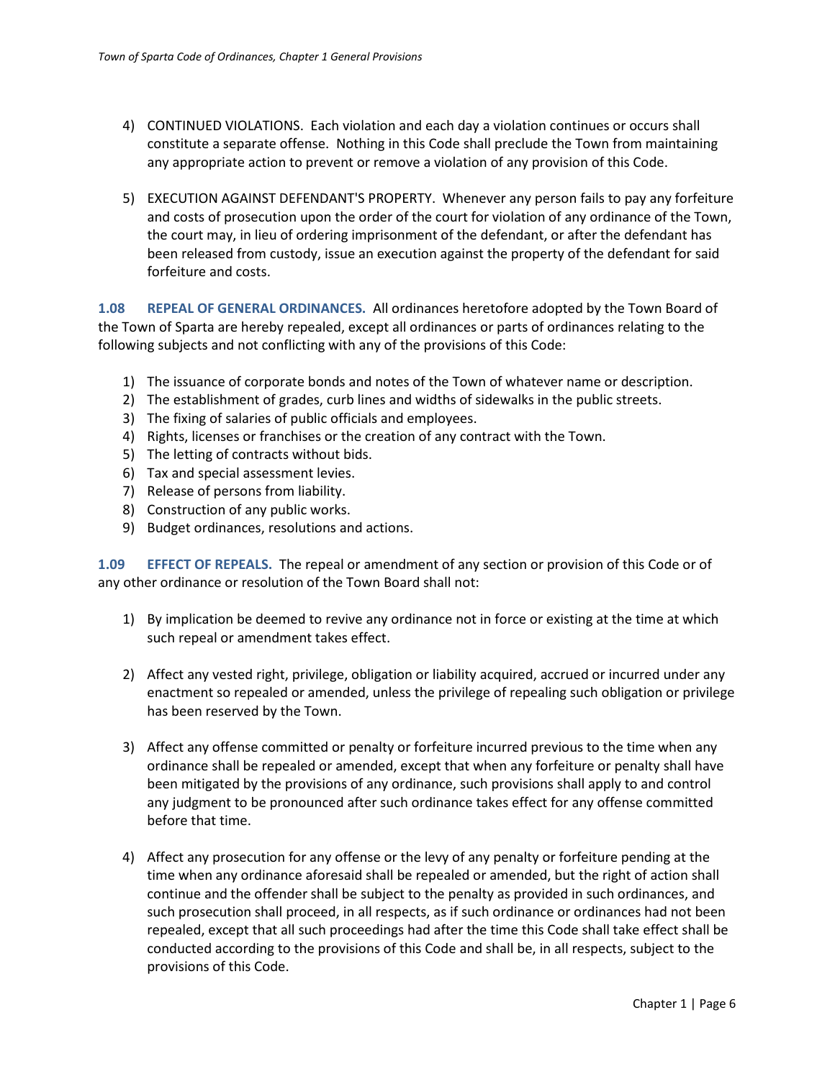- 4) CONTINUED VIOLATIONS. Each violation and each day a violation continues or occurs shall constitute a separate offense. Nothing in this Code shall preclude the Town from maintaining any appropriate action to prevent or remove a violation of any provision of this Code.
- 5) EXECUTION AGAINST DEFENDANT'S PROPERTY. Whenever any person fails to pay any forfeiture and costs of prosecution upon the order of the court for violation of any ordinance of the Town, the court may, in lieu of ordering imprisonment of the defendant, or after the defendant has been released from custody, issue an execution against the property of the defendant for said forfeiture and costs.

<span id="page-5-0"></span>**1.08 REPEAL OF GENERAL ORDINANCES.** All ordinances heretofore adopted by the Town Board of the Town of Sparta are hereby repealed, except all ordinances or parts of ordinances relating to the following subjects and not conflicting with any of the provisions of this Code:

- 1) The issuance of corporate bonds and notes of the Town of whatever name or description.
- 2) The establishment of grades, curb lines and widths of sidewalks in the public streets.
- 3) The fixing of salaries of public officials and employees.
- 4) Rights, licenses or franchises or the creation of any contract with the Town.
- 5) The letting of contracts without bids.
- 6) Tax and special assessment levies.
- 7) Release of persons from liability.
- 8) Construction of any public works.
- 9) Budget ordinances, resolutions and actions.

<span id="page-5-1"></span>**1.09 EFFECT OF REPEALS.** The repeal or amendment of any section or provision of this Code or of any other ordinance or resolution of the Town Board shall not:

- 1) By implication be deemed to revive any ordinance not in force or existing at the time at which such repeal or amendment takes effect.
- 2) Affect any vested right, privilege, obligation or liability acquired, accrued or incurred under any enactment so repealed or amended, unless the privilege of repealing such obligation or privilege has been reserved by the Town.
- 3) Affect any offense committed or penalty or forfeiture incurred previous to the time when any ordinance shall be repealed or amended, except that when any forfeiture or penalty shall have been mitigated by the provisions of any ordinance, such provisions shall apply to and control any judgment to be pronounced after such ordinance takes effect for any offense committed before that time.
- 4) Affect any prosecution for any offense or the levy of any penalty or forfeiture pending at the time when any ordinance aforesaid shall be repealed or amended, but the right of action shall continue and the offender shall be subject to the penalty as provided in such ordinances, and such prosecution shall proceed, in all respects, as if such ordinance or ordinances had not been repealed, except that all such proceedings had after the time this Code shall take effect shall be conducted according to the provisions of this Code and shall be, in all respects, subject to the provisions of this Code.